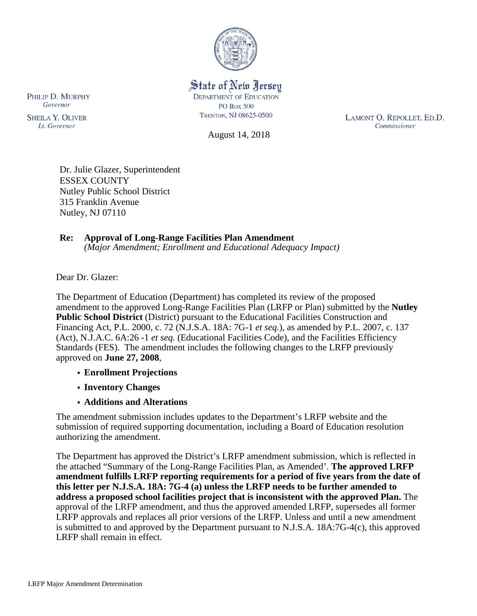

## State of New Jersey **DEPARTMENT OF EDUCATION PO Box 500** TRENTON, NJ 08625-0500

August 14, 2018

LAMONT O. REPOLLET, ED.D. Commissioner

Dr. Julie Glazer, Superintendent ESSEX COUNTY Nutley Public School District 315 Franklin Avenue

#### **Re: Approval of Long-Range Facilities Plan Amendment** *(Major Amendment; Enrollment and Educational Adequacy Impact)*

Dear Dr. Glazer:

Nutley, NJ 07110

The Department of Education (Department) has completed its review of the proposed amendment to the approved Long-Range Facilities Plan (LRFP or Plan) submitted by the **Nutley Public School District** (District) pursuant to the Educational Facilities Construction and Financing Act, P.L. 2000, c. 72 (N.J.S.A. 18A: 7G-1 *et seq.*), as amended by P.L. 2007, c. 137 (Act), N.J.A.C. 6A:26 -1 *et seq.* (Educational Facilities Code), and the Facilities Efficiency Standards (FES). The amendment includes the following changes to the LRFP previously approved on **June 27, 2008**,

- **Enrollment Projections**
- **Inventory Changes**
- **Additions and Alterations**

The amendment submission includes updates to the Department's LRFP website and the submission of required supporting documentation, including a Board of Education resolution authorizing the amendment.

The Department has approved the District's LRFP amendment submission, which is reflected in the attached "Summary of the Long-Range Facilities Plan, as Amended'. **The approved LRFP amendment fulfills LRFP reporting requirements for a period of five years from the date of this letter per N.J.S.A. 18A: 7G-4 (a) unless the LRFP needs to be further amended to address a proposed school facilities project that is inconsistent with the approved Plan.** The approval of the LRFP amendment, and thus the approved amended LRFP, supersedes all former LRFP approvals and replaces all prior versions of the LRFP. Unless and until a new amendment is submitted to and approved by the Department pursuant to N.J.S.A. 18A:7G-4(c), this approved LRFP shall remain in effect.

PHILIP D. MURPHY Governor

**SHEILA Y. OLIVER** Lt. Governor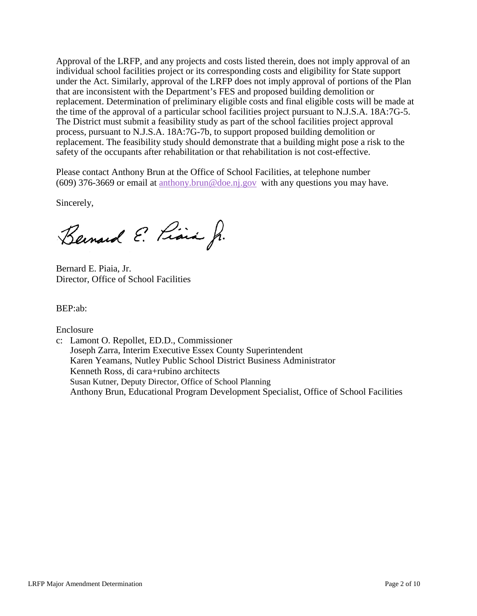Approval of the LRFP, and any projects and costs listed therein, does not imply approval of an individual school facilities project or its corresponding costs and eligibility for State support under the Act. Similarly, approval of the LRFP does not imply approval of portions of the Plan that are inconsistent with the Department's FES and proposed building demolition or replacement. Determination of preliminary eligible costs and final eligible costs will be made at the time of the approval of a particular school facilities project pursuant to N.J.S.A. 18A:7G-5. The District must submit a feasibility study as part of the school facilities project approval process, pursuant to N.J.S.A. 18A:7G-7b, to support proposed building demolition or replacement. The feasibility study should demonstrate that a building might pose a risk to the safety of the occupants after rehabilitation or that rehabilitation is not cost-effective.

Please contact Anthony Brun at the Office of School Facilities, at telephone number (609) 376-3669 or email at [anthony.brun@doe.nj.gov](mailto:anthony.brun@doe.nj.gov) with any questions you may have.

Sincerely,

Bernard E. Piara Jr.

Bernard E. Piaia, Jr. Director, Office of School Facilities

BEP:ab:

Enclosure

c: Lamont O. Repollet, ED.D., Commissioner Joseph Zarra, Interim Executive Essex County Superintendent Karen Yeamans, Nutley Public School District Business Administrator Kenneth Ross, di cara+rubino architects Susan Kutner, Deputy Director, Office of School Planning Anthony Brun, Educational Program Development Specialist, Office of School Facilities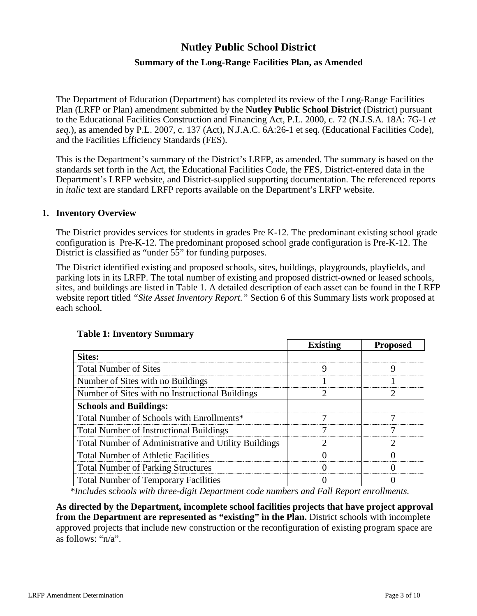# **Nutley Public School District**

# **Summary of the Long-Range Facilities Plan, as Amended**

The Department of Education (Department) has completed its review of the Long-Range Facilities Plan (LRFP or Plan) amendment submitted by the **Nutley Public School District** (District) pursuant to the Educational Facilities Construction and Financing Act, P.L. 2000, c. 72 (N.J.S.A. 18A: 7G-1 *et seq.*), as amended by P.L. 2007, c. 137 (Act), N.J.A.C. 6A:26-1 et seq. (Educational Facilities Code), and the Facilities Efficiency Standards (FES).

This is the Department's summary of the District's LRFP, as amended. The summary is based on the standards set forth in the Act, the Educational Facilities Code, the FES, District-entered data in the Department's LRFP website, and District-supplied supporting documentation. The referenced reports in *italic* text are standard LRFP reports available on the Department's LRFP website.

#### **1. Inventory Overview**

The District provides services for students in grades Pre K-12. The predominant existing school grade configuration is Pre-K-12. The predominant proposed school grade configuration is Pre-K-12. The District is classified as "under 55" for funding purposes.

The District identified existing and proposed schools, sites, buildings, playgrounds, playfields, and parking lots in its LRFP. The total number of existing and proposed district-owned or leased schools, sites, and buildings are listed in Table 1. A detailed description of each asset can be found in the LRFP website report titled *"Site Asset Inventory Report."* Section 6 of this Summary lists work proposed at each school.

|                                                      | <b>Existing</b> | <b>Proposed</b> |
|------------------------------------------------------|-----------------|-----------------|
| Sites:                                               |                 |                 |
| <b>Total Number of Sites</b>                         |                 |                 |
| Number of Sites with no Buildings                    |                 |                 |
| Number of Sites with no Instructional Buildings      |                 |                 |
| <b>Schools and Buildings:</b>                        |                 |                 |
| Total Number of Schools with Enrollments*            |                 |                 |
| <b>Total Number of Instructional Buildings</b>       |                 |                 |
| Total Number of Administrative and Utility Buildings |                 |                 |
| <b>Total Number of Athletic Facilities</b>           |                 |                 |
| <b>Total Number of Parking Structures</b>            |                 |                 |
| <b>Total Number of Temporary Facilities</b>          |                 |                 |

### **Table 1: Inventory Summary**

*\*Includes schools with three-digit Department code numbers and Fall Report enrollments.*

**As directed by the Department, incomplete school facilities projects that have project approval from the Department are represented as "existing" in the Plan.** District schools with incomplete approved projects that include new construction or the reconfiguration of existing program space are as follows: "n/a".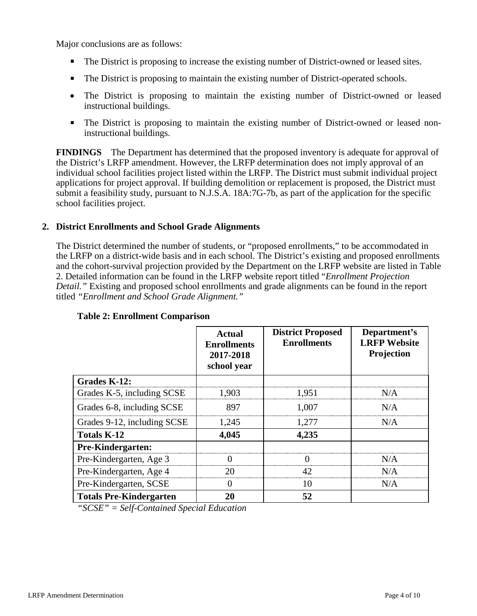Major conclusions are as follows:

- The District is proposing to increase the existing number of District-owned or leased sites.
- The District is proposing to maintain the existing number of District-operated schools.
- The District is proposing to maintain the existing number of District-owned or leased instructional buildings.
- The District is proposing to maintain the existing number of District-owned or leased noninstructional buildings.

**FINDINGS** The Department has determined that the proposed inventory is adequate for approval of the District's LRFP amendment. However, the LRFP determination does not imply approval of an individual school facilities project listed within the LRFP. The District must submit individual project applications for project approval. If building demolition or replacement is proposed, the District must submit a feasibility study, pursuant to N.J.S.A. 18A:7G-7b, as part of the application for the specific school facilities project.

## **2. District Enrollments and School Grade Alignments**

The District determined the number of students, or "proposed enrollments," to be accommodated in the LRFP on a district-wide basis and in each school. The District's existing and proposed enrollments and the cohort-survival projection provided by the Department on the LRFP website are listed in Table 2. Detailed information can be found in the LRFP website report titled "*Enrollment Projection Detail."* Existing and proposed school enrollments and grade alignments can be found in the report titled *"Enrollment and School Grade Alignment."*

|                                | Actual<br><b>Enrollments</b><br>2017-2018<br>school year | <b>District Proposed</b><br><b>Enrollments</b> | Department's<br><b>LRFP Website</b><br>Projection |
|--------------------------------|----------------------------------------------------------|------------------------------------------------|---------------------------------------------------|
| Grades K-12:                   |                                                          |                                                |                                                   |
| Grades K-5, including SCSE     | 1,903                                                    | 1,951                                          | N/A                                               |
| Grades 6-8, including SCSE     | 897                                                      | 1,007                                          | N/A                                               |
| Grades 9-12, including SCSE    | 1,245                                                    | 1,277                                          | N/A                                               |
| <b>Totals K-12</b>             | 4,045                                                    | 4,235                                          |                                                   |
| Pre-Kindergarten:              |                                                          |                                                |                                                   |
| Pre-Kindergarten, Age 3        |                                                          |                                                | N/A                                               |
| Pre-Kindergarten, Age 4        | 20                                                       | 42                                             | N/A                                               |
| Pre-Kindergarten, SCSE         | $\left( \right)$                                         | 10                                             | N/A                                               |
| <b>Totals Pre-Kindergarten</b> | 20                                                       | 52                                             |                                                   |

### **Table 2: Enrollment Comparison**

*"SCSE" = Self-Contained Special Education*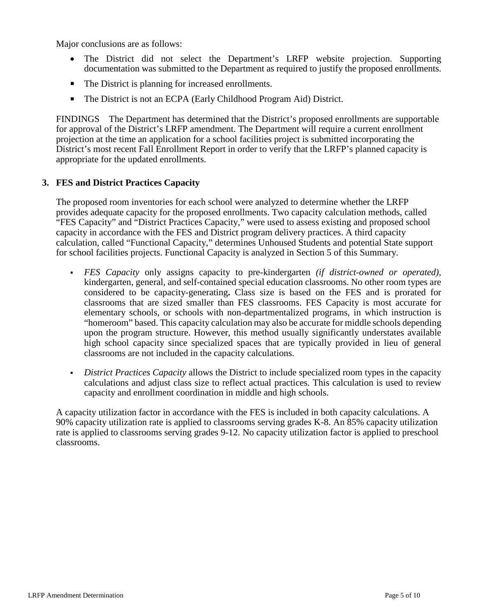Major conclusions are as follows:

- The District did not select the Department's LRFP website projection. Supporting documentation was submitted to the Department as required to justify the proposed enrollments.
- The District is planning for increased enrollments.
- The District is not an ECPA (Early Childhood Program Aid) District.

FINDINGS The Department has determined that the District's proposed enrollments are supportable for approval of the District's LRFP amendment. The Department will require a current enrollment projection at the time an application for a school facilities project is submitted incorporating the District's most recent Fall Enrollment Report in order to verify that the LRFP's planned capacity is appropriate for the updated enrollments.

### **3. FES and District Practices Capacity**

The proposed room inventories for each school were analyzed to determine whether the LRFP provides adequate capacity for the proposed enrollments. Two capacity calculation methods, called "FES Capacity" and "District Practices Capacity," were used to assess existing and proposed school capacity in accordance with the FES and District program delivery practices. A third capacity calculation, called "Functional Capacity," determines Unhoused Students and potential State support for school facilities projects. Functional Capacity is analyzed in Section 5 of this Summary.

- *FES Capacity* only assigns capacity to pre-kindergarten *(if district-owned or operated),* kindergarten, general, and self-contained special education classrooms. No other room types are considered to be capacity-generating**.** Class size is based on the FES and is prorated for classrooms that are sized smaller than FES classrooms. FES Capacity is most accurate for elementary schools, or schools with non-departmentalized programs, in which instruction is "homeroom" based. This capacity calculation may also be accurate for middle schools depending upon the program structure. However, this method usually significantly understates available high school capacity since specialized spaces that are typically provided in lieu of general classrooms are not included in the capacity calculations.
- *District Practices Capacity* allows the District to include specialized room types in the capacity calculations and adjust class size to reflect actual practices. This calculation is used to review capacity and enrollment coordination in middle and high schools.

A capacity utilization factor in accordance with the FES is included in both capacity calculations. A 90% capacity utilization rate is applied to classrooms serving grades K-8. An 85% capacity utilization rate is applied to classrooms serving grades 9-12. No capacity utilization factor is applied to preschool classrooms.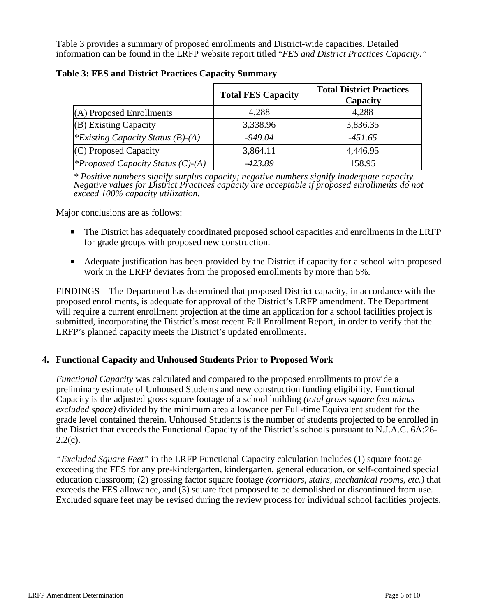Table 3 provides a summary of proposed enrollments and District-wide capacities. Detailed information can be found in the LRFP website report titled "*FES and District Practices Capacity."*

|                                          | <b>Total FES Capacity</b> | <b>Total District Practices</b><br>Capacity |
|------------------------------------------|---------------------------|---------------------------------------------|
| (A) Proposed Enrollments                 | 4.288                     | 4.288                                       |
| $(B)$ Existing Capacity                  | 3,338.96                  | 3,836.35                                    |
| *Existing Capacity Status $(B)$ - $(A)$  | $-949.04$                 | $-451.65$                                   |
| (C) Proposed Capacity                    | 3,864.11                  | 4.446.95                                    |
| <i>*Proposed Capacity Status (C)-(A)</i> | -423.89                   | 158.95                                      |

**Table 3: FES and District Practices Capacity Summary**

*\* Positive numbers signify surplus capacity; negative numbers signify inadequate capacity. Negative values for District Practices capacity are acceptable if proposed enrollments do not exceed 100% capacity utilization.*

Major conclusions are as follows:

- The District has adequately coordinated proposed school capacities and enrollments in the LRFP for grade groups with proposed new construction.
- Adequate justification has been provided by the District if capacity for a school with proposed work in the LRFP deviates from the proposed enrollments by more than 5%.

FINDINGS The Department has determined that proposed District capacity, in accordance with the proposed enrollments, is adequate for approval of the District's LRFP amendment. The Department will require a current enrollment projection at the time an application for a school facilities project is submitted, incorporating the District's most recent Fall Enrollment Report, in order to verify that the LRFP's planned capacity meets the District's updated enrollments.

### **4. Functional Capacity and Unhoused Students Prior to Proposed Work**

*Functional Capacity* was calculated and compared to the proposed enrollments to provide a preliminary estimate of Unhoused Students and new construction funding eligibility. Functional Capacity is the adjusted gross square footage of a school building *(total gross square feet minus excluded space)* divided by the minimum area allowance per Full-time Equivalent student for the grade level contained therein. Unhoused Students is the number of students projected to be enrolled in the District that exceeds the Functional Capacity of the District's schools pursuant to N.J.A.C. 6A:26-  $2.2(c)$ .

*"Excluded Square Feet"* in the LRFP Functional Capacity calculation includes (1) square footage exceeding the FES for any pre-kindergarten, kindergarten, general education, or self-contained special education classroom; (2) grossing factor square footage *(corridors, stairs, mechanical rooms, etc.)* that exceeds the FES allowance, and (3) square feet proposed to be demolished or discontinued from use. Excluded square feet may be revised during the review process for individual school facilities projects.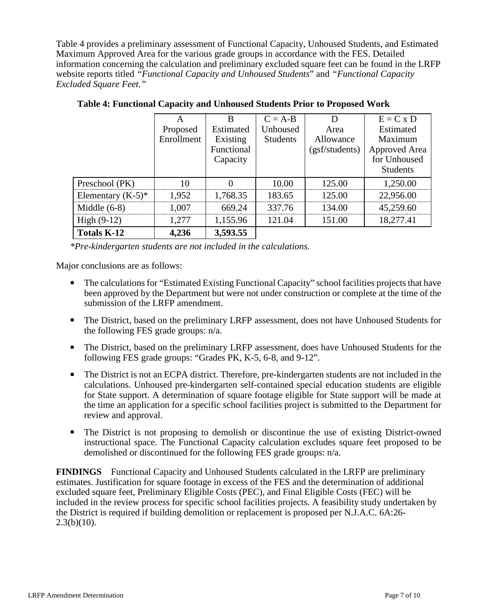Table 4 provides a preliminary assessment of Functional Capacity, Unhoused Students, and Estimated Maximum Approved Area for the various grade groups in accordance with the FES. Detailed information concerning the calculation and preliminary excluded square feet can be found in the LRFP website reports titled *"Functional Capacity and Unhoused Students*" and *"Functional Capacity Excluded Square Feet."*

|                      |            | R          | $C = A-B$       |                | $E = C x D$     |
|----------------------|------------|------------|-----------------|----------------|-----------------|
|                      | Proposed   | Estimated  | Unhoused        | Area           | Estimated       |
|                      | Enrollment | Existing   | <b>Students</b> | Allowance      | Maximum         |
|                      |            | Functional |                 | (gsf/students) | Approved Area   |
|                      |            | Capacity   |                 |                | for Unhoused    |
|                      |            |            |                 |                | <b>Students</b> |
| Preschool (PK)       | 10         |            | 10.00           | 125.00         | 1,250.00        |
| Elementary $(K-5)^*$ | 1,952      | 1,768.35   | 183.65          | 125.00         | 22,956.00       |
| Middle $(6-8)$       | 1,007      | 669.24     | 337.76          | 134.00         | 45,259.60       |
| High $(9-12)$        | 1,277      | 1,155.96   | 121.04          | 151.00         | 18,277.41       |
| <b>Totals K-12</b>   | 4,236      | 3,593.55   |                 |                |                 |

**Table 4: Functional Capacity and Unhoused Students Prior to Proposed Work**

*\*Pre-kindergarten students are not included in the calculations.* 

Major conclusions are as follows:

- The calculations for "Estimated Existing Functional Capacity" school facilities projects that have been approved by the Department but were not under construction or complete at the time of the submission of the LRFP amendment.
- The District, based on the preliminary LRFP assessment, does not have Unhoused Students for the following FES grade groups: n/a.
- The District, based on the preliminary LRFP assessment, does have Unhoused Students for the following FES grade groups: "Grades PK, K-5, 6-8, and 9-12".
- The District is not an ECPA district. Therefore, pre-kindergarten students are not included in the calculations. Unhoused pre-kindergarten self-contained special education students are eligible for State support. A determination of square footage eligible for State support will be made at the time an application for a specific school facilities project is submitted to the Department for review and approval.
- The District is not proposing to demolish or discontinue the use of existing District-owned instructional space. The Functional Capacity calculation excludes square feet proposed to be demolished or discontinued for the following FES grade groups: n/a.

**FINDINGS** Functional Capacity and Unhoused Students calculated in the LRFP are preliminary estimates. Justification for square footage in excess of the FES and the determination of additional excluded square feet, Preliminary Eligible Costs (PEC), and Final Eligible Costs (FEC) will be included in the review process for specific school facilities projects. A feasibility study undertaken by the District is required if building demolition or replacement is proposed per N.J.A.C. 6A:26-  $2.3(b)(10)$ .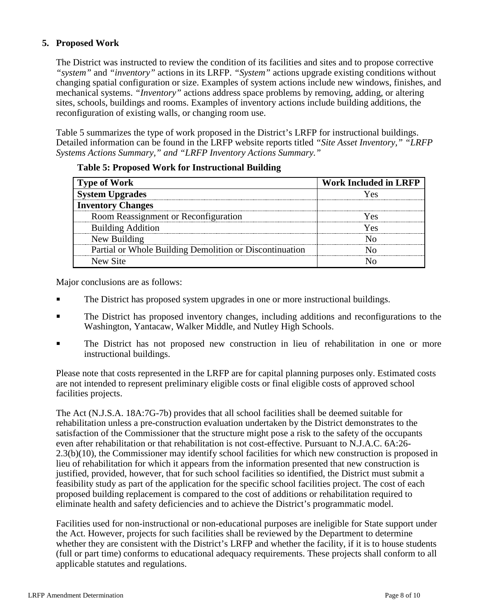# **5. Proposed Work**

The District was instructed to review the condition of its facilities and sites and to propose corrective *"system"* and *"inventory"* actions in its LRFP. *"System"* actions upgrade existing conditions without changing spatial configuration or size. Examples of system actions include new windows, finishes, and mechanical systems. *"Inventory"* actions address space problems by removing, adding, or altering sites, schools, buildings and rooms. Examples of inventory actions include building additions, the reconfiguration of existing walls, or changing room use.

Table 5 summarizes the type of work proposed in the District's LRFP for instructional buildings. Detailed information can be found in the LRFP website reports titled *"Site Asset Inventory," "LRFP Systems Actions Summary," and "LRFP Inventory Actions Summary."* 

| <b>Type of Work</b>                                     | <b>Work Included in LRFP</b> |
|---------------------------------------------------------|------------------------------|
| <b>System Upgrades</b>                                  |                              |
| <b>Inventory Changes</b>                                |                              |
| Room Reassignment or Reconfiguration                    |                              |
| <b>Building Addition</b>                                | $\alpha$                     |
| New Building                                            |                              |
| Partial or Whole Building Demolition or Discontinuation |                              |
| New Site                                                |                              |

#### **Table 5: Proposed Work for Instructional Building**

Major conclusions are as follows:

- The District has proposed system upgrades in one or more instructional buildings.
- The District has proposed inventory changes, including additions and reconfigurations to the Washington, Yantacaw, Walker Middle, and Nutley High Schools.
- The District has not proposed new construction in lieu of rehabilitation in one or more instructional buildings.

Please note that costs represented in the LRFP are for capital planning purposes only. Estimated costs are not intended to represent preliminary eligible costs or final eligible costs of approved school facilities projects.

The Act (N.J.S.A. 18A:7G-7b) provides that all school facilities shall be deemed suitable for rehabilitation unless a pre-construction evaluation undertaken by the District demonstrates to the satisfaction of the Commissioner that the structure might pose a risk to the safety of the occupants even after rehabilitation or that rehabilitation is not cost-effective. Pursuant to N.J.A.C. 6A:26- 2.3(b)(10), the Commissioner may identify school facilities for which new construction is proposed in lieu of rehabilitation for which it appears from the information presented that new construction is justified, provided, however, that for such school facilities so identified, the District must submit a feasibility study as part of the application for the specific school facilities project. The cost of each proposed building replacement is compared to the cost of additions or rehabilitation required to eliminate health and safety deficiencies and to achieve the District's programmatic model.

Facilities used for non-instructional or non-educational purposes are ineligible for State support under the Act. However, projects for such facilities shall be reviewed by the Department to determine whether they are consistent with the District's LRFP and whether the facility, if it is to house students (full or part time) conforms to educational adequacy requirements. These projects shall conform to all applicable statutes and regulations.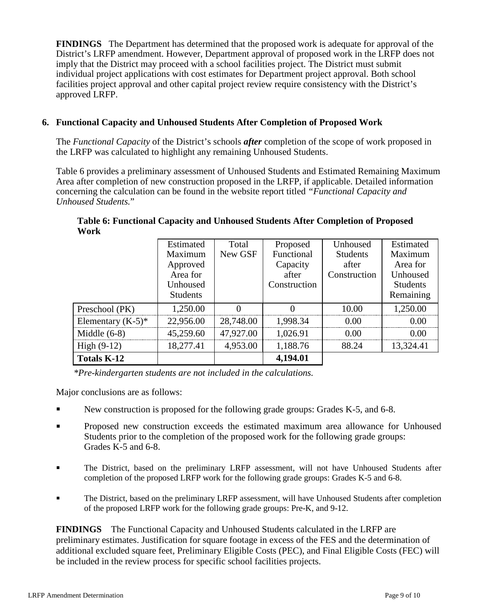**FINDINGS** The Department has determined that the proposed work is adequate for approval of the District's LRFP amendment. However, Department approval of proposed work in the LRFP does not imply that the District may proceed with a school facilities project. The District must submit individual project applications with cost estimates for Department project approval. Both school facilities project approval and other capital project review require consistency with the District's approved LRFP.

# **6. Functional Capacity and Unhoused Students After Completion of Proposed Work**

The *Functional Capacity* of the District's schools *after* completion of the scope of work proposed in the LRFP was calculated to highlight any remaining Unhoused Students.

Table 6 provides a preliminary assessment of Unhoused Students and Estimated Remaining Maximum Area after completion of new construction proposed in the LRFP, if applicable. Detailed information concerning the calculation can be found in the website report titled *"Functional Capacity and Unhoused Students.*"

|                      | Estimated       | Total     | Proposed     | Unhoused        | Estimated       |
|----------------------|-----------------|-----------|--------------|-----------------|-----------------|
|                      | Maximum         | New GSF   | Functional   | <b>Students</b> | Maximum         |
|                      | Approved        |           | Capacity     | after           | Area for        |
|                      | Area for        |           | after        | Construction    | Unhoused        |
|                      | Unhoused        |           | Construction |                 | <b>Students</b> |
|                      | <b>Students</b> |           |              |                 | Remaining       |
| Preschool (PK)       | 1,250.00        |           |              | 10.00           | 1,250.00        |
| Elementary $(K-5)^*$ | 22,956.00       | 28,748.00 | 1,998.34     | 0.00            | 0 OO            |
| Middle $(6-8)$       | 45,259.60       | 47,927.00 | 1,026.91     | 0.00            | 0.00            |
| High $(9-12)$        | 18,277.41       | 4,953.00  | 1,188.76     | 88.24           | 13,324.41       |
| <b>Totals K-12</b>   |                 |           | 4,194.01     |                 |                 |

**Table 6: Functional Capacity and Unhoused Students After Completion of Proposed Work**

*\*Pre-kindergarten students are not included in the calculations.*

Major conclusions are as follows:

- New construction is proposed for the following grade groups: Grades K-5, and 6-8.
- Proposed new construction exceeds the estimated maximum area allowance for Unhoused Students prior to the completion of the proposed work for the following grade groups: Grades K-5 and 6-8.
- The District, based on the preliminary LRFP assessment, will not have Unhoused Students after completion of the proposed LRFP work for the following grade groups: Grades K-5 and 6-8.
- The District, based on the preliminary LRFP assessment, will have Unhoused Students after completion of the proposed LRFP work for the following grade groups: Pre-K, and 9-12.

**FINDINGS** The Functional Capacity and Unhoused Students calculated in the LRFP are preliminary estimates. Justification for square footage in excess of the FES and the determination of additional excluded square feet, Preliminary Eligible Costs (PEC), and Final Eligible Costs (FEC) will be included in the review process for specific school facilities projects.